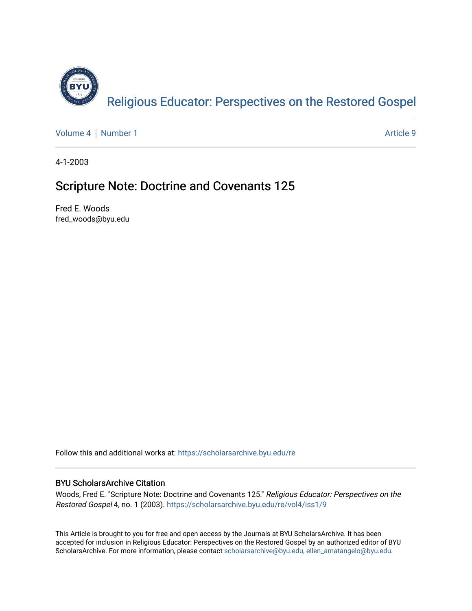

[Volume 4](https://scholarsarchive.byu.edu/re/vol4) | [Number 1](https://scholarsarchive.byu.edu/re/vol4/iss1) Article 9

4-1-2003

## Scripture Note: Doctrine and Covenants 125

Fred E. Woods fred\_woods@byu.edu

Follow this and additional works at: [https://scholarsarchive.byu.edu/re](https://scholarsarchive.byu.edu/re?utm_source=scholarsarchive.byu.edu%2Fre%2Fvol4%2Fiss1%2F9&utm_medium=PDF&utm_campaign=PDFCoverPages)

## BYU ScholarsArchive Citation

Woods, Fred E. "Scripture Note: Doctrine and Covenants 125." Religious Educator: Perspectives on the Restored Gospel 4, no. 1 (2003). [https://scholarsarchive.byu.edu/re/vol4/iss1/9](https://scholarsarchive.byu.edu/re/vol4/iss1/9?utm_source=scholarsarchive.byu.edu%2Fre%2Fvol4%2Fiss1%2F9&utm_medium=PDF&utm_campaign=PDFCoverPages) 

This Article is brought to you for free and open access by the Journals at BYU ScholarsArchive. It has been accepted for inclusion in Religious Educator: Perspectives on the Restored Gospel by an authorized editor of BYU ScholarsArchive. For more information, please contact [scholarsarchive@byu.edu, ellen\\_amatangelo@byu.edu.](mailto:scholarsarchive@byu.edu,%20ellen_amatangelo@byu.edu)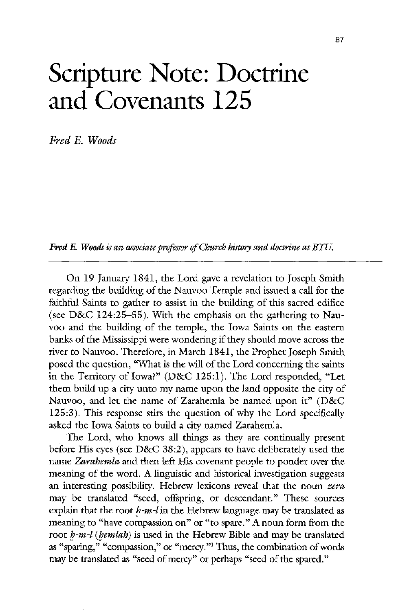## Scripture Note: Doctrine and covenants 125

Fred E. Woods

**Fred E. Woods** is an associate professor of Church history and doctrine at BYU.

On 19 January 1841, the Lord gave a revelation to Joseph Smith regarding the building of the Nauvoo Temple and issued a call for the faithful saints to gather to assist in the building of this sacred edifice (see D&C 124:25-55). With the emphasis on the gathering to Nauvoo and the building of the temple, the Iowa Saints on the eastern banks of the Mississippi were wondering if they should move across the river to Nauvoo. Therefore, in March 1841, the Prophet Joseph Smith posed the question, "What is the will of the Lord concerning the saints in the Territory of Iowa?" (D&C 125:1). The Lord responded, "Let them build up a city unto my name upon the land opposite the city of Nauvoo, and let the name of Zarahemla be named upon it"  $(D&C)$  $125:3$ ). This response stirs the question of why the Lord specifically asked the Iowa Saints to build a city named Zarahemla. The Lord, who knows all things as they are continually present before His eyes (see  $D&C$  38:2), appears to have deliberately used the name Zarahemla and then left His covenant people to ponder over the meaning of the word. A linguistic and historical investigation suggests an interesting possibility. Hebrew lexicons reveal that the noun zera may be translated "seed, offspring, or descendant." These sources explain that the root  $h-m-l$  in the Hebrew language may be translated as meaning to "have compassion on" or "to spare." A noun form from the root  $h-m-l$  (*hemlah*) is used in the Hebrew Bible and may be translated as "sparing," "compassion," or "mercy."<sup>1</sup> Thus, the combination of words may be translated as "seed of mercy" or perhaps "seed of the spared."